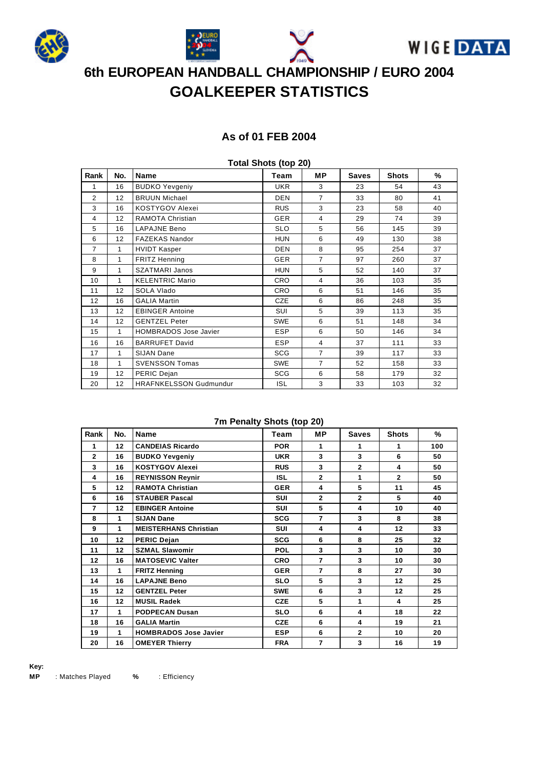







# **6th EUROPEAN HANDBALL CHAMPIONSHIP / EURO 2004 GOALKEEPER STATISTICS**

### **As of 01 FEB 2004**

| Total Shots (top ZU) |     |                               |            |                |              |              |    |  |  |  |
|----------------------|-----|-------------------------------|------------|----------------|--------------|--------------|----|--|--|--|
| Rank                 | No. | Name                          | Team       | MР             | <b>Saves</b> | <b>Shots</b> | %  |  |  |  |
| 1                    | 16  | <b>BUDKO Yevgeniy</b>         | <b>UKR</b> | 3              | 23           | 54           | 43 |  |  |  |
| $\overline{2}$       | 12  | <b>BRUUN Michael</b>          | <b>DEN</b> | $\overline{7}$ | 33           | 80           | 41 |  |  |  |
| 3                    | 16  | <b>KOSTYGOV Alexei</b>        | <b>RUS</b> | 3              | 23           | 58           | 40 |  |  |  |
| 4                    | 12  | RAMOTA Christian              | GER        | 4              | 29           | 74           | 39 |  |  |  |
| 5                    | 16  | <b>LAPAJNE Beno</b>           | <b>SLO</b> | 5              | 56           | 145          | 39 |  |  |  |
| 6                    | 12  | <b>FAZEKAS Nandor</b>         | <b>HUN</b> | 6              | 49           | 130          | 38 |  |  |  |
| $\overline{7}$       | 1   | <b>HVIDT Kasper</b>           | <b>DEN</b> | 8              | 95           | 254          | 37 |  |  |  |
| 8                    | 1   | <b>FRITZ Henning</b>          | <b>GER</b> | $\overline{7}$ | 97           | 260          | 37 |  |  |  |
| 9                    | 1   | <b>SZATMARI Janos</b>         | <b>HUN</b> | 5              | 52           | 140          | 37 |  |  |  |
| 10                   | 1   | <b>KELENTRIC Mario</b>        | <b>CRO</b> | $\overline{4}$ | 36           | 103          | 35 |  |  |  |
| 11                   | 12  | SOLA Vlado                    | <b>CRO</b> | 6              | 51           | 146          | 35 |  |  |  |
| 12                   | 16  | <b>GALIA Martin</b>           | <b>CZE</b> | 6              | 86           | 248          | 35 |  |  |  |
| 13                   | 12  | <b>EBINGER Antoine</b>        | SUI        | 5              | 39           | 113          | 35 |  |  |  |
| 14                   | 12  | <b>GENTZEL Peter</b>          | <b>SWE</b> | 6              | 51           | 148          | 34 |  |  |  |
| 15                   | 1   | <b>HOMBRADOS Jose Javier</b>  | <b>ESP</b> | 6              | 50           | 146          | 34 |  |  |  |
| 16                   | 16  | <b>BARRUFET David</b>         | <b>ESP</b> | 4              | 37           | 111          | 33 |  |  |  |
| 17                   | 1   | <b>SIJAN Dane</b>             | <b>SCG</b> | $\overline{7}$ | 39           | 117          | 33 |  |  |  |
| 18                   | 1   | <b>SVENSSON Tomas</b>         | <b>SWE</b> | $\overline{7}$ | 52           | 158          | 33 |  |  |  |
| 19                   | 12  | PERIC Dejan                   | <b>SCG</b> | 6              | 58           | 179          | 32 |  |  |  |
| 20                   | 12  | <b>HRAFNKELSSON Gudmundur</b> | <b>ISL</b> | 3              | 33           | 103          | 32 |  |  |  |

### **Total Shots (top 20)**

#### **7m Penalty Shots (top 20)**

| Rank           | No. | <b>Name</b>                  | Team       | <b>MP</b>      | <b>Saves</b>   | <b>Shots</b> | ℅   |
|----------------|-----|------------------------------|------------|----------------|----------------|--------------|-----|
| 1              | 12  | <b>CANDEIAS Ricardo</b>      | <b>POR</b> | 1              | 1              | 1            | 100 |
| $\mathbf{2}$   | 16  | <b>BUDKO Yevgeniy</b>        | <b>UKR</b> | 3              | 3              | 6            | 50  |
| 3              | 16  | <b>KOSTYGOV Alexei</b>       | <b>RUS</b> | 3              | $\overline{2}$ | 4            | 50  |
| 4              | 16  | <b>REYNISSON Reynir</b>      | ISL        | $\overline{2}$ | 1              | $\mathbf{2}$ | 50  |
| 5              | 12  | <b>RAMOTA Christian</b>      | <b>GER</b> | 4              | 5              | 11           | 45  |
| 6              | 16  | <b>STAUBER Pascal</b>        | <b>SUI</b> | $\mathbf{2}$   | $\overline{2}$ | 5            | 40  |
| $\overline{7}$ | 12  | <b>EBINGER Antoine</b>       | <b>SUI</b> | 5              | 4              | 10           | 40  |
| 8              | 1   | <b>SIJAN Dane</b>            | <b>SCG</b> | $\overline{7}$ | 3              | 8            | 38  |
| 9              | 1   | <b>MEISTERHANS Christian</b> | <b>SUI</b> | 4              | 4              | 12           | 33  |
| 10             | 12  | <b>PERIC Dejan</b>           | <b>SCG</b> | 6              | 8              | 25           | 32  |
| 11             | 12  | <b>SZMAL Slawomir</b>        | <b>POL</b> | 3              | 3              | 10           | 30  |
| 12             | 16  | <b>MATOSEVIC Valter</b>      | <b>CRO</b> | $\overline{7}$ | 3              | 10           | 30  |
| 13             | 1.  | <b>FRITZ Henning</b>         | <b>GER</b> | $\overline{7}$ | 8              | 27           | 30  |
| 14             | 16  | <b>LAPAJNE Beno</b>          | <b>SLO</b> | 5              | 3              | 12           | 25  |
| 15             | 12  | <b>GENTZEL Peter</b>         | <b>SWE</b> | 6              | 3              | 12           | 25  |
| 16             | 12  | <b>MUSIL Radek</b>           | <b>CZE</b> | 5              | 1              | 4            | 25  |
| 17             | 1   | <b>PODPECAN Dusan</b>        | <b>SLO</b> | 6              | 4              | 18           | 22  |
| 18             | 16  | <b>GALIA Martin</b>          | <b>CZE</b> | 6              | 4              | 19           | 21  |
| 19             | 1.  | <b>HOMBRADOS Jose Javier</b> | <b>ESP</b> | 6              | $\mathbf{2}$   | 10           | 20  |
| 20             | 16  | <b>OMEYER Thierry</b>        | <b>FRA</b> | $\overline{7}$ | 3              | 16           | 19  |

**Key: MP** : Matches Played **%** : Efficiency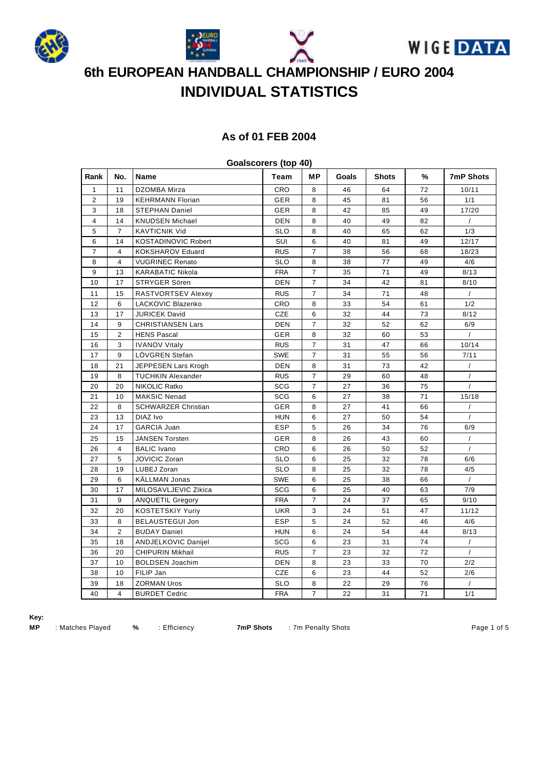







## **As of 01 FEB 2004**

|                | Goalscorers (top 40) |                            |            |                |       |              |    |                  |  |  |  |  |
|----------------|----------------------|----------------------------|------------|----------------|-------|--------------|----|------------------|--|--|--|--|
| Rank           | No.                  | Name                       | Team       | MР             | Goals | <b>Shots</b> | %  | <b>7mP Shots</b> |  |  |  |  |
| 1              | 11                   | DZOMBA Mirza               | CRO        | 8              | 46    | 64           | 72 | 10/11            |  |  |  |  |
| $\overline{2}$ | 19                   | <b>KEHRMANN Florian</b>    | <b>GER</b> | 8              | 45    | 81           | 56 | 1/1              |  |  |  |  |
| 3              | 18                   | <b>STEPHAN Daniel</b>      | GER        | 8              | 42    | 85           | 49 | 17/20            |  |  |  |  |
| $\overline{4}$ | 14                   | <b>KNUDSEN Michael</b>     | DEN        | 8              | 40    | 49           | 82 | $\prime$         |  |  |  |  |
| 5              | $\overline{7}$       | <b>KAVTICNIK Vid</b>       | <b>SLO</b> | 8              | 40    | 65           | 62 | 1/3              |  |  |  |  |
| 6              | 14                   | <b>KOSTADINOVIC Robert</b> | SUI        | 6              | 40    | 81           | 49 | 12/17            |  |  |  |  |
| $\overline{7}$ | $\overline{4}$       | <b>KOKSHAROV Eduard</b>    | <b>RUS</b> | $\overline{7}$ | 38    | 56           | 68 | 18/23            |  |  |  |  |
| 8              | $\overline{4}$       | <b>VUGRINEC Renato</b>     | <b>SLO</b> | 8              | 38    | 77           | 49 | 4/6              |  |  |  |  |
| 9              | 13                   | <b>KARABATIC Nikola</b>    | <b>FRA</b> | $\overline{7}$ | 35    | 71           | 49 | 8/13             |  |  |  |  |
| 10             | 17                   | STRYGER Sören              | <b>DEN</b> | $\overline{7}$ | 34    | 42           | 81 | 8/10             |  |  |  |  |
| 11             | 15                   | RASTVORTSEV Alexey         | <b>RUS</b> | $\overline{7}$ | 34    | 71           | 48 | $\prime$         |  |  |  |  |
| 12             | 6                    | LACKOVIC Blazenko          | CRO        | 8              | 33    | 54           | 61 | 1/2              |  |  |  |  |
| 13             | 17                   | <b>JURICEK David</b>       | <b>CZE</b> | 6              | 32    | 44           | 73 | 8/12             |  |  |  |  |
| 14             | 9                    | <b>CHRISTIANSEN Lars</b>   | DEN        | $\overline{7}$ | 32    | 52           | 62 | 6/9              |  |  |  |  |
| 15             | $\overline{2}$       | <b>HENS Pascal</b>         | <b>GER</b> | 8              | 32    | 60           | 53 | $\prime$         |  |  |  |  |
| 16             | 3                    | <b>IVANOV Vitaly</b>       | <b>RUS</b> | $\overline{7}$ | 31    | 47           | 66 | 10/14            |  |  |  |  |
| 17             | 9                    | LÖVGREN Stefan             | <b>SWE</b> | $\overline{7}$ | 31    | 55           | 56 | 7/11             |  |  |  |  |
| 18             | 21                   | JEPPESEN Lars Krogh        | <b>DEN</b> | 8              | 31    | 73           | 42 | $\prime$         |  |  |  |  |
| 19             | 8                    | <b>TUCHKIN Alexander</b>   | <b>RUS</b> | $\overline{7}$ | 29    | 60           | 48 | $\sqrt{ }$       |  |  |  |  |
| 20             | 20                   | NIKOLIC Ratko              | <b>SCG</b> | $\overline{7}$ | 27    | 36           | 75 |                  |  |  |  |  |
| 21             | 10                   | <b>MAKSIC Nenad</b>        | SCG        | 6              | 27    | 38           | 71 | 15/18            |  |  |  |  |
| 22             | 8                    | <b>SCHWARZER Christian</b> | GER        | 8              | 27    | 41           | 66 |                  |  |  |  |  |
| 23             | 13                   | DIAZ Ivo                   | <b>HUN</b> | 6              | 27    | 50           | 54 | $\prime$         |  |  |  |  |
| 24             | 17                   | <b>GARCIA Juan</b>         | <b>ESP</b> | 5              | 26    | 34           | 76 | 6/9              |  |  |  |  |
| 25             | 15                   | <b>JANSEN Torsten</b>      | <b>GER</b> | 8              | 26    | 43           | 60 | $\prime$         |  |  |  |  |
| 26             | $\overline{4}$       | <b>BALIC</b> Ivano         | CRO        | 6              | 26    | 50           | 52 | $\prime$         |  |  |  |  |
| 27             | 5                    | JOVICIC Zoran              | <b>SLO</b> | 6              | 25    | 32           | 78 | 6/6              |  |  |  |  |
| 28             | 19                   | LUBEJ Zoran                | <b>SLO</b> | 8              | 25    | 32           | 78 | 4/5              |  |  |  |  |
| 29             | 6                    | <b>KALLMAN Jonas</b>       | <b>SWE</b> | 6              | 25    | 38           | 66 | $\prime$         |  |  |  |  |
| 30             | 17                   | MILOSAVLJEVIC Zikica       | SCG        | 6              | 25    | 40           | 63 | 7/9              |  |  |  |  |
| 31             | 9                    | <b>ANQUETIL Gregory</b>    | <b>FRA</b> | $\overline{7}$ | 24    | 37           | 65 | 9/10             |  |  |  |  |
| 32             | 20                   | <b>KOSTETSKIY Yuriy</b>    | <b>UKR</b> | 3              | 24    | 51           | 47 | 11/12            |  |  |  |  |
| 33             | 8                    | <b>BELAUSTEGUI Jon</b>     | <b>ESP</b> | 5              | 24    | 52           | 46 | 4/6              |  |  |  |  |
| 34             | $\overline{2}$       | <b>BUDAY Daniel</b>        | <b>HUN</b> | 6              | 24    | 54           | 44 | 8/13             |  |  |  |  |
| 35             | 18                   | ANDJELKOVIC Danijel        | SCG        | 6              | 23    | 31           | 74 | $\prime$         |  |  |  |  |
| 36             | 20                   | <b>CHIPURIN Mikhail</b>    | <b>RUS</b> | $\overline{7}$ | 23    | 32           | 72 | $\prime$         |  |  |  |  |
| 37             | 10                   | <b>BOLDSEN Joachim</b>     | DEN        | 8              | 23    | 33           | 70 | 2/2              |  |  |  |  |
| 38             | 10                   | FILIP Jan                  | <b>CZE</b> | 6              | 23    | 44           | 52 | 2/6              |  |  |  |  |
| 39             | 18                   | <b>ZORMAN Uros</b>         | <b>SLO</b> | 8              | 22    | 29           | 76 | $\sqrt{2}$       |  |  |  |  |
| 40             | $\overline{4}$       | <b>BURDET Cedric</b>       | <b>FRA</b> | $\overline{7}$ | 22    | 31           | 71 | 1/1              |  |  |  |  |

**Goalscorers (top 40)**

**Key:**

**MP** : Matches Played **%** : Efficiency **7mP Shots** : 7m Penalty Shots **Page 1 of 5** and Page 1 of 5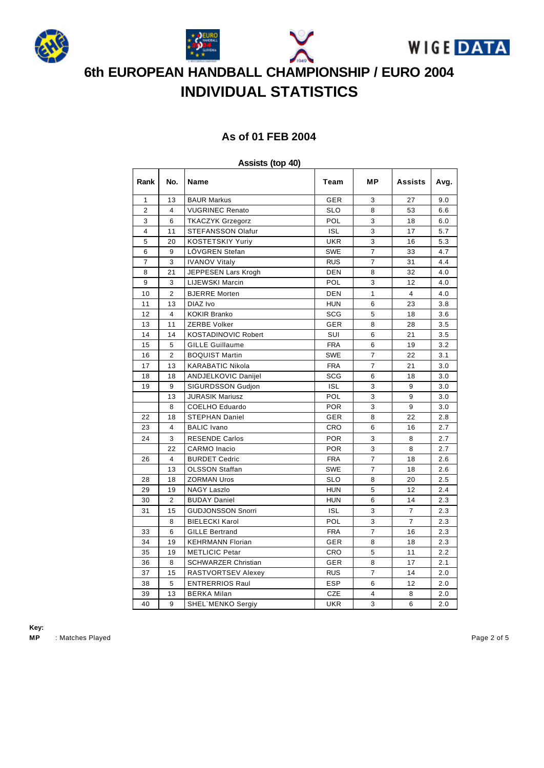







### **As of 01 FEB 2004**

### **Assists (top 40)**

| Rank           | No.            | Name                       | Team       | <b>MP</b>      | <b>Assists</b> | Avg. |
|----------------|----------------|----------------------------|------------|----------------|----------------|------|
| 1              | 13             | <b>BAUR Markus</b>         | <b>GER</b> | 3              | 27             | 9.0  |
| 2              | 4              | <b>VUGRINEC Renato</b>     | <b>SLO</b> | 8              | 53             | 6.6  |
| 3              | 6              | <b>TKACZYK Grzegorz</b>    | POL        | 3              | 18             | 6.0  |
| 4              | 11             | STEFANSSON Olafur          | <b>ISL</b> | 3              | 17             | 5.7  |
| 5              | 20             | <b>KOSTETSKIY Yuriy</b>    | <b>UKR</b> | 3              | 16             | 5.3  |
| 6              | 9              | LOVGREN Stefan             | <b>SWE</b> | $\overline{7}$ | 33             | 4.7  |
| $\overline{7}$ | 3              | <b>IVANOV Vitaly</b>       | <b>RUS</b> | $\overline{7}$ | 31             | 4.4  |
| 8              | 21             | JEPPESEN Lars Krogh        | <b>DEN</b> | 8              | 32             | 4.0  |
| 9              | 3              | <b>LIJEWSKI Marcin</b>     | POL        | 3              | 12             | 4.0  |
| 10             | $\overline{2}$ | <b>BJERRE Morten</b>       | DEN        | $\mathbf{1}$   | 4              | 4.0  |
| 11             | 13             | DIAZ Ivo                   | <b>HUN</b> | 6              | 23             | 3.8  |
| 12             | $\overline{4}$ | <b>KOKIR Branko</b>        | <b>SCG</b> | 5              | 18             | 3.6  |
| 13             | 11             | ZERBE Volker               | <b>GER</b> | 8              | 28             | 3.5  |
| 14             | 14             | <b>KOSTADINOVIC Robert</b> | SUI        | 6              | 21             | 3.5  |
| 15             | 5              | <b>GILLE Guillaume</b>     | <b>FRA</b> | 6              | 19             | 3.2  |
| 16             | $\overline{2}$ | <b>BOQUIST Martin</b>      | <b>SWE</b> | $\overline{7}$ | 22             | 3.1  |
| 17             | 13             | <b>KARABATIC Nikola</b>    | <b>FRA</b> | $\overline{7}$ | 21             | 3.0  |
| 18             | 18             | <b>ANDJELKOVIC Danijel</b> | <b>SCG</b> | 6              | 18             | 3.0  |
| 19             | 9              | SIGURDSSON Gudjon          | <b>ISL</b> | 3              | 9              | 3.0  |
|                | 13             | <b>JURASIK Mariusz</b>     | POL        | 3              | 9              | 3.0  |
|                | 8              | <b>COELHO Eduardo</b>      | <b>POR</b> | 3              | 9              | 3.0  |
| 22             | 18             | <b>STEPHAN Daniel</b>      | GER        | 8              | 22             | 2.8  |
| 23             | 4              | <b>BALIC</b> Ivano         | CRO        | 6              | 16             | 2.7  |
| 24             | 3              | <b>RESENDE Carlos</b>      | <b>POR</b> | 3              | 8              | 2.7  |
|                | 22             | <b>CARMO</b> Inacio        | <b>POR</b> | 3              | 8              | 2.7  |
| 26             | 4              | <b>BURDET Cedric</b>       | <b>FRA</b> | $\overline{7}$ | 18             | 2.6  |
|                | 13             | <b>OLSSON Staffan</b>      | <b>SWE</b> | $\overline{7}$ | 18             | 2.6  |
| 28             | 18             | <b>ZORMAN Uros</b>         | <b>SLO</b> | 8              | 20             | 2.5  |
| 29             | 19             | <b>NAGY Laszlo</b>         | <b>HUN</b> | 5              | 12             | 2.4  |
| 30             | $\overline{2}$ | <b>BUDAY Daniel</b>        | <b>HUN</b> | 6              | 14             | 2.3  |
| 31             | 15             | <b>GUDJONSSON Snorri</b>   | <b>ISL</b> | 3              | $\overline{7}$ | 2.3  |
|                | 8              | <b>BIELECKI Karol</b>      | POL        | 3              | $\overline{7}$ | 2.3  |
| 33             | 6              | <b>GILLE Bertrand</b>      | <b>FRA</b> | 7              | 16             | 2.3  |
| 34             | 19             | <b>KEHRMANN Florian</b>    | <b>GER</b> | 8              | 18             | 2.3  |
| 35             | 19             | <b>METLICIC Petar</b>      | <b>CRO</b> | 5              | 11             | 2.2  |
| 36             | 8              | <b>SCHWARZER Christian</b> | GER        | 8              | 17             | 2.1  |
| 37             | 15             | RASTVORTSEV Alexey         | <b>RUS</b> | $\overline{7}$ | 14             | 2.0  |
| 38             | 5              | <b>ENTRERRIOS Raul</b>     | <b>ESP</b> | 6              | 12             | 2.0  |
| 39             | 13             | <b>BERKA Milan</b>         | <b>CZE</b> | 4              | 8              | 2.0  |
| 40             | 9              | <b>SHEL MENKO Sergiy</b>   | <b>UKR</b> | 3              | 6              | 2.0  |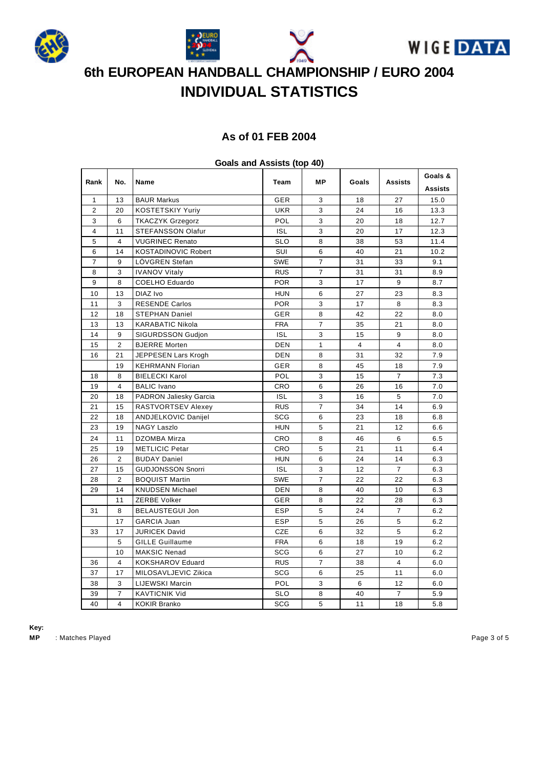







## **As of 01 FEB 2004**

|                         |                         | opens and Assists (ipp to ) |            |                |                |                |                |
|-------------------------|-------------------------|-----------------------------|------------|----------------|----------------|----------------|----------------|
| Rank                    | No.                     | <b>Name</b>                 | Team       | МP             | Goals          | <b>Assists</b> | Goals &        |
|                         |                         |                             |            |                |                |                | <b>Assists</b> |
| 1                       | 13                      | <b>BAUR Markus</b>          | GER        | 3              | 18             | 27             | 15.0           |
| $\overline{2}$          | 20                      | <b>KOSTETSKIY Yuriy</b>     | <b>UKR</b> | 3              | 24             | 16             | 13.3           |
| 3                       | 6                       | <b>TKACZYK Grzegorz</b>     | POL        | 3              | 20             | 18             | 12.7           |
| $\overline{\mathbf{4}}$ | 11                      | STEFANSSON Olafur           | <b>ISL</b> | 3              | 20             | 17             | 12.3           |
| $\sqrt{5}$              | $\overline{\mathbf{4}}$ | <b>VUGRINEC Renato</b>      | <b>SLO</b> | 8              | 38             | 53             | 11.4           |
| 6                       | 14                      | <b>KOSTADINOVIC Robert</b>  | SUI        | 6              | 40             | 21             | 10.2           |
| $\overline{7}$          | 9                       | LÖVGREN Stefan              | <b>SWE</b> | $\overline{7}$ | 31             | 33             | 9.1            |
| 8                       | 3                       | <b>IVANOV Vitaly</b>        | <b>RUS</b> | $\overline{7}$ | 31             | 31             | 8.9            |
| 9                       | 8                       | <b>COELHO Eduardo</b>       | <b>POR</b> | 3              | 17             | 9              | 8.7            |
| 10                      | 13                      | DIAZ Ivo                    | <b>HUN</b> | 6              | 27             | 23             | 8.3            |
| 11                      | 3                       | <b>RESENDE Carlos</b>       | <b>POR</b> | 3              | 17             | 8              | 8.3            |
| 12                      | 18                      | <b>STEPHAN Daniel</b>       | GER        | 8              | 42             | 22             | 8.0            |
| 13                      | 13                      | <b>KARABATIC Nikola</b>     | <b>FRA</b> | $\overline{7}$ | 35             | 21             | 8.0            |
| 14                      | 9                       | <b>SIGURDSSON Gudjon</b>    | <b>ISL</b> | 3              | 15             | 9              | 8.0            |
| 15                      | 2                       | <b>BJERRE</b> Morten        | <b>DEN</b> | $\mathbf{1}$   | $\overline{4}$ | $\overline{4}$ | 8.0            |
| 16                      | 21                      | JEPPESEN Lars Krogh         | <b>DEN</b> | 8              | 31             | 32             | 7.9            |
|                         | 19                      | <b>KEHRMANN Florian</b>     | GER        | 8              | 45             | 18             | 7.9            |
| 18                      | 8                       | <b>BIELECKI Karol</b>       | POL        | 3              | 15             | $\overline{7}$ | 7.3            |
| 19                      | $\overline{4}$          | <b>BALIC Ivano</b>          | CRO        | 6              | 26             | 16             | 7.0            |
| 20                      | 18                      | PADRON Jaliesky Garcia      | <b>ISL</b> | 3              | 16             | 5              | 7.0            |
| 21                      | 15                      | RASTVORTSEV Alexey          | <b>RUS</b> | $\overline{7}$ | 34             | 14             | 6.9            |
| 22                      | 18                      | ANDJELKOVIC Danijel         | <b>SCG</b> | 6              | 23             | 18             | 6.8            |
| 23                      | 19                      | <b>NAGY Laszlo</b>          | <b>HUN</b> | 5              | 21             | 12             | 6.6            |
| 24                      | 11                      | DZOMBA Mirza                | CRO        | 8              | 46             | 6              | 6.5            |
| 25                      | 19                      | <b>METLICIC Petar</b>       | CRO        | 5              | 21             | 11             | 6.4            |
| 26                      | 2                       | <b>BUDAY Daniel</b>         | <b>HUN</b> | 6              | 24             | 14             | 6.3            |
| 27                      | 15                      | <b>GUDJONSSON Snorri</b>    | <b>ISL</b> | 3              | 12             | $\overline{7}$ | 6.3            |
| 28                      | 2                       | <b>BOQUIST Martin</b>       | <b>SWE</b> | $\overline{7}$ | 22             | 22             | 6.3            |
| 29                      | 14                      | <b>KNUDSEN Michael</b>      | DEN        | 8              | 40             | 10             | 6.3            |
|                         | 11                      | ZERBE Volker                | GER        | 8              | 22             | 28             | 6.3            |
| 31                      | 8                       | <b>BELAUSTEGUI Jon</b>      | <b>ESP</b> | 5              | 24             | $\overline{7}$ | 6.2            |
|                         | 17                      | <b>GARCIA Juan</b>          | ESP        | 5              | 26             | 5              | 6.2            |
| 33                      | 17                      | <b>JURICEK David</b>        | CZE        | 6              | 32             | 5              | 6.2            |
|                         | 5                       | <b>GILLE Guillaume</b>      | <b>FRA</b> | 6              | 18             | 19             | 6.2            |
|                         | 10                      | <b>MAKSIC Nenad</b>         | <b>SCG</b> | 6              | 27             | 10             | 6.2            |
| 36                      | $\overline{4}$          | <b>KOKSHAROV Eduard</b>     | <b>RUS</b> | $\overline{7}$ | 38             | $\overline{4}$ | 6.0            |
| 37                      | 17                      | MILOSAVLJEVIC Zikica        | SCG        | 6              | 25             | 11             | 6.0            |
| 38                      | 3                       | LIJEWSKI Marcin             | POL        | 3              | 6              | 12             | 6.0            |
| 39                      | $\overline{7}$          | <b>KAVTICNIK Vid</b>        | <b>SLO</b> | 8              | 40             | $\overline{7}$ | 5.9            |
| 40                      | 4                       | <b>KOKIR Branko</b>         | <b>SCG</b> | 5              | 11             | 18             | 5.8            |
|                         |                         |                             |            |                |                |                |                |

### **Goals and Assists (top 40)**

**Key:**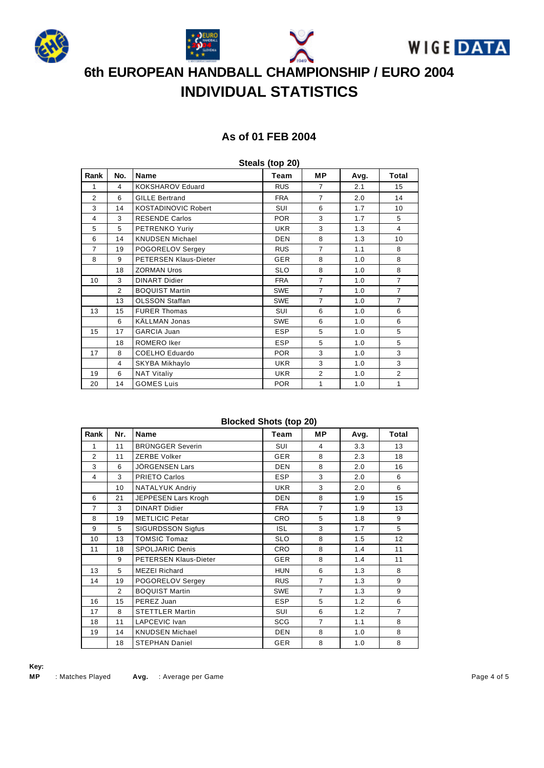





## **As of 01 FEB 2004**

| Steals (top 20) |     |                            |            |                |      |                |  |  |  |
|-----------------|-----|----------------------------|------------|----------------|------|----------------|--|--|--|
| Rank            | No. | <b>Name</b>                | Team       | <b>MP</b>      | Avg. | Total          |  |  |  |
| 1               | 4   | KOKSHAROV Eduard           | <b>RUS</b> | $\overline{7}$ | 2.1  | 15             |  |  |  |
| 2               | 6   | <b>GILLE Bertrand</b>      | <b>FRA</b> | $\overline{7}$ | 2.0  | 14             |  |  |  |
| 3               | 14  | <b>KOSTADINOVIC Robert</b> | SUI        | 6              | 1.7  | 10             |  |  |  |
| 4               | 3   | <b>RESENDE Carlos</b>      | <b>POR</b> | 3              | 1.7  | 5              |  |  |  |
| 5               | 5   | PETRENKO Yuriy             | <b>UKR</b> | 3              | 1.3  | $\overline{4}$ |  |  |  |
| 6               | 14  | <b>KNUDSEN Michael</b>     | <b>DEN</b> | 8              | 1.3  | 10             |  |  |  |
| $\overline{7}$  | 19  | POGORELOV Sergey           | <b>RUS</b> | $\overline{7}$ | 1.1  | 8              |  |  |  |
| 8               | 9   | PETERSEN Klaus-Dieter      | <b>GER</b> | 8              | 1.0  | 8              |  |  |  |
|                 | 18  | <b>ZORMAN Uros</b>         | <b>SLO</b> | 8              | 1.0  | 8              |  |  |  |
| 10              | 3   | <b>DINART Didier</b>       | <b>FRA</b> | $\overline{7}$ | 1.0  | $\overline{7}$ |  |  |  |
|                 | 2   | <b>BOQUIST Martin</b>      | <b>SWE</b> | $\overline{7}$ | 1.0  | $\overline{7}$ |  |  |  |
|                 | 13  | <b>OLSSON Staffan</b>      | <b>SWE</b> | $\overline{7}$ | 1.0  | $\overline{7}$ |  |  |  |
| 13              | 15  | <b>FURER Thomas</b>        | SUI        | 6              | 1.0  | 6              |  |  |  |
|                 | 6   | KÄLLMAN Jonas              | <b>SWE</b> | 6              | 1.0  | 6              |  |  |  |
| 15              | 17  | <b>GARCIA Juan</b>         | <b>ESP</b> | 5              | 1.0  | 5              |  |  |  |
|                 | 18  | ROMERO Iker                | <b>ESP</b> | 5              | 1.0  | 5              |  |  |  |
| 17              | 8   | <b>COELHO Eduardo</b>      | <b>POR</b> | 3              | 1.0  | 3              |  |  |  |
|                 | 4   | SKYBA Mikhaylo             | <b>UKR</b> | 3              | 1.0  | 3              |  |  |  |
| 19              | 6   | <b>NAT Vitaliy</b>         | <b>UKR</b> | $\overline{2}$ | 1.0  | $\overline{2}$ |  |  |  |
| 20              | 14  | <b>GOMES Luis</b>          | <b>POR</b> | 1              | 1.0  | 1              |  |  |  |

### **Blocked Shots (top 20)**

| Rank           | Nr.            | <b>Name</b>              | Team       | MP.            | Avg. | Total          |
|----------------|----------------|--------------------------|------------|----------------|------|----------------|
| 1              | 11             | <b>BRÜNGGER Severin</b>  | SUI        | 4              | 3.3  | 13             |
| 2              | 11             | <b>ZERBE Volker</b>      | <b>GER</b> | 8              | 2.3  | 18             |
| 3              | 6              | JÖRGENSEN Lars           | <b>DEN</b> | 8              | 2.0  | 16             |
| 4              | 3              | <b>PRIETO Carlos</b>     | <b>ESP</b> | 3              | 2.0  | 6              |
|                | 10             | NATALYUK Andriy          | <b>UKR</b> | 3              | 2.0  | 6              |
| 6              | 21             | JEPPESEN Lars Krogh      | <b>DEN</b> | 8              | 1.9  | 15             |
| $\overline{7}$ | 3              | <b>DINART Didier</b>     | <b>FRA</b> | $\overline{7}$ | 1.9  | 13             |
| 8              | 19             | <b>METLICIC Petar</b>    | <b>CRO</b> | 5              | 1.8  | 9              |
| 9              | 5              | <b>SIGURDSSON Sigfus</b> | <b>ISL</b> | 3              | 1.7  | 5              |
| 10             | 13             | <b>TOMSIC Tomaz</b>      | <b>SLO</b> | 8              | 1.5  | 12             |
| 11             | 18             | <b>SPOLJARIC Denis</b>   | <b>CRO</b> | 8              | 1.4  | 11             |
|                | 9              | PETERSEN Klaus-Dieter    | <b>GER</b> | 8              | 1.4  | 11             |
| 13             | 5              | <b>MEZEI Richard</b>     | <b>HUN</b> | 6              | 1.3  | 8              |
| 14             | 19             | POGORELOV Sergey         | <b>RUS</b> | $\overline{7}$ | 1.3  | 9              |
|                | $\overline{2}$ | <b>BOQUIST Martin</b>    | <b>SWE</b> | $\overline{7}$ | 1.3  | 9              |
| 16             | 15             | PEREZ Juan               | <b>ESP</b> | 5              | 1.2  | 6              |
| 17             | 8              | <b>STETTLER Martin</b>   | SUI        | 6              | 1.2  | $\overline{7}$ |
| 18             | 11             | LAPCEVIC Ivan            | SCG        | $\overline{7}$ | 1.1  | 8              |
| 19             | 14             | <b>KNUDSEN Michael</b>   | <b>DEN</b> | 8              | 1.0  | 8              |
|                | 18             | <b>STEPHAN Daniel</b>    | <b>GER</b> | 8              | 1.0  | 8              |

**Key: MP** : Matches Played **Avg.** : Average per Game **Page 4 of 5** and 2011 11 and 2014 12:00 Page 4 of 5